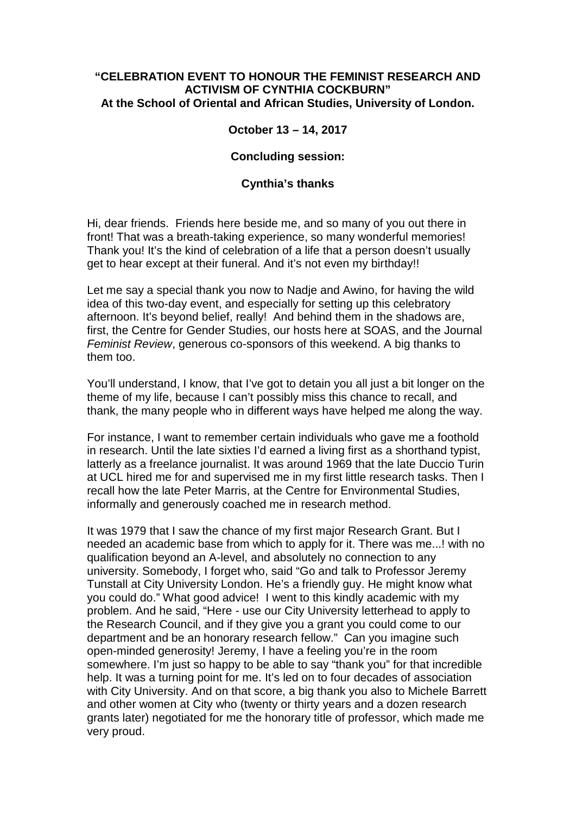## **"CELEBRATION EVENT TO HONOUR THE FEMINIST RESEARCH AND ACTIVISM OF CYNTHIA COCKBURN" At the School of Oriental and African Studies, University of London.**

## **October 13 – 14, 2017**

## **Concluding session:**

## **Cynthia's thanks**

Hi, dear friends. Friends here beside me, and so many of you out there in front! That was a breath-taking experience, so many wonderful memories! Thank you! It's the kind of celebration of a life that a person doesn't usually get to hear except at their funeral. And it's not even my birthday!!

Let me say a special thank you now to Nadje and Awino, for having the wild idea of this two-day event, and especially for setting up this celebratory afternoon. It's beyond belief, really! And behind them in the shadows are, first, the Centre for Gender Studies, our hosts here at SOAS, and the Journal *Feminist Review*, generous co-sponsors of this weekend. A big thanks to them too.

You'll understand, I know, that I've got to detain you all just a bit longer on the theme of my life, because I can't possibly miss this chance to recall, and thank, the many people who in different ways have helped me along the way.

For instance, I want to remember certain individuals who gave me a foothold in research. Until the late sixties I'd earned a living first as a shorthand typist, latterly as a freelance journalist. It was around 1969 that the late Duccio Turin at UCL hired me for and supervised me in my first little research tasks. Then I recall how the late Peter Marris, at the Centre for Environmental Studies, informally and generously coached me in research method.

It was 1979 that I saw the chance of my first major Research Grant. But I needed an academic base from which to apply for it. There was me...! with no qualification beyond an A-level, and absolutely no connection to any university. Somebody, I forget who, said "Go and talk to Professor Jeremy Tunstall at City University London. He's a friendly guy. He might know what you could do." What good advice! I went to this kindly academic with my problem. And he said, "Here - use our City University letterhead to apply to the Research Council, and if they give you a grant you could come to our department and be an honorary research fellow." Can you imagine such open-minded generosity! Jeremy, I have a feeling you're in the room somewhere. I'm just so happy to be able to say "thank you" for that incredible help. It was a turning point for me. It's led on to four decades of association with City University. And on that score, a big thank you also to Michele Barrett and other women at City who (twenty or thirty years and a dozen research grants later) negotiated for me the honorary title of professor, which made me very proud.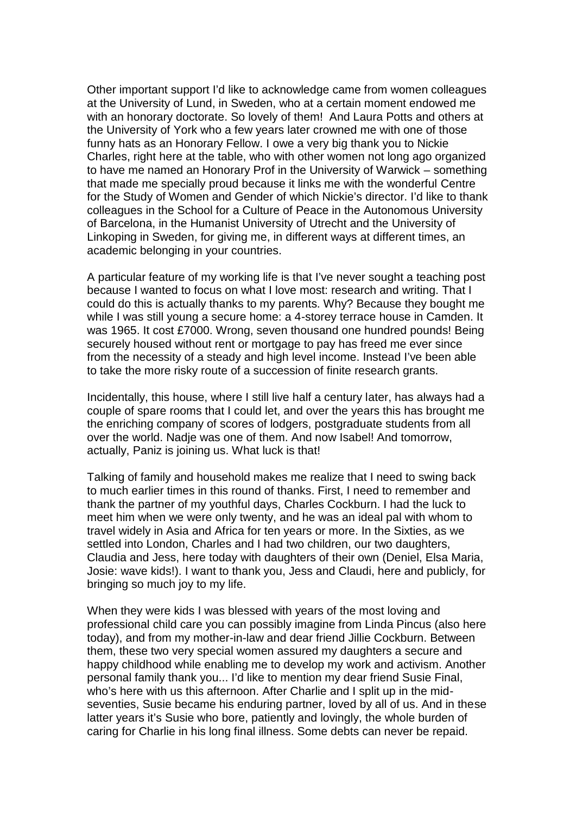Other important support I'd like to acknowledge came from women colleagues at the University of Lund, in Sweden, who at a certain moment endowed me with an honorary doctorate. So lovely of them! And Laura Potts and others at the University of York who a few years later crowned me with one of those funny hats as an Honorary Fellow. I owe a very big thank you to Nickie Charles, right here at the table, who with other women not long ago organized to have me named an Honorary Prof in the University of Warwick – something that made me specially proud because it links me with the wonderful Centre for the Study of Women and Gender of which Nickie's director. I'd like to thank colleagues in the School for a Culture of Peace in the Autonomous University of Barcelona, in the Humanist University of Utrecht and the University of Linkoping in Sweden, for giving me, in different ways at different times, an academic belonging in your countries.

A particular feature of my working life is that I've never sought a teaching post because I wanted to focus on what I love most: research and writing. That I could do this is actually thanks to my parents. Why? Because they bought me while I was still young a secure home: a 4-storey terrace house in Camden. It was 1965. It cost £7000. Wrong, seven thousand one hundred pounds! Being securely housed without rent or mortgage to pay has freed me ever since from the necessity of a steady and high level income. Instead I've been able to take the more risky route of a succession of finite research grants.

Incidentally, this house, where I still live half a century later, has always had a couple of spare rooms that I could let, and over the years this has brought me the enriching company of scores of lodgers, postgraduate students from all over the world. Nadje was one of them. And now Isabel! And tomorrow, actually, Paniz is joining us. What luck is that!

Talking of family and household makes me realize that I need to swing back to much earlier times in this round of thanks. First, I need to remember and thank the partner of my youthful days, Charles Cockburn. I had the luck to meet him when we were only twenty, and he was an ideal pal with whom to travel widely in Asia and Africa for ten years or more. In the Sixties, as we settled into London, Charles and I had two children, our two daughters, Claudia and Jess, here today with daughters of their own (Deniel, Elsa Maria, Josie: wave kids!). I want to thank you, Jess and Claudi, here and publicly, for bringing so much joy to my life.

When they were kids I was blessed with years of the most loving and professional child care you can possibly imagine from Linda Pincus (also here today), and from my mother-in-law and dear friend Jillie Cockburn. Between them, these two very special women assured my daughters a secure and happy childhood while enabling me to develop my work and activism. Another personal family thank you... I'd like to mention my dear friend Susie Final, who's here with us this afternoon. After Charlie and I split up in the midseventies, Susie became his enduring partner, loved by all of us. And in these latter years it's Susie who bore, patiently and lovingly, the whole burden of caring for Charlie in his long final illness. Some debts can never be repaid.